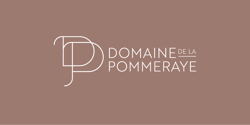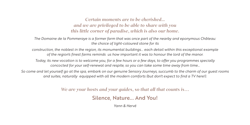## *Certain moments are to be cherished... and we are privileged to be able to share with you this little corner of paradise, which is also our home.*

*The Domaine de la Pommeraye is a former farm that was once part of the nearby and eponymous Château: the choice of light-coloured stone for its* 

*construction, the noblest in the region, its monumental buildings... each detail within this exceptional example of the region's finest farms reminds us how important it was to honour the lord of the manor.*

*Today, its new vocation is to welcome you, for a few hours or a few days, to offer you programmes specially concocted for your self-renewal and respite, so you can take some time away from time…*

*So come and let yourself go at the spa, embark on our genuine Sensory Journeys, succumb to the charm of our guest rooms and suites, naturally equipped with all the modern comforts (but don't expect to find a TV here!).*

*We are your hosts and your guides, so that all that counts is…*

Silence, Nature... And You!

*Yann & Hervé*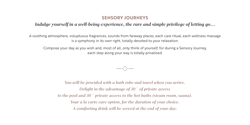### **SENSORY JOURNEYS**

## *Indulge yourself in a well-being experience, the rare and simple privilege of letting go…*

A soothing atmosphere, voluptuous fragrances, sounds from faraway places, each care ritual, each wellness massage is a symphony in its own right, totally devoted to your relaxation.

Compose your day as you wish and, most of all, only think of yourself, for during a Sensory Journey, each step along your way is totally privatised.

 $-\Diamond$ —

*You will be provided with a bath robe and towel when you arrive. Delight in the advantage of 30 ' of private access to the pool and 30 ' private access to the hot baths (steam room, sauna). Your à la carte care option, for the duration of your choice. A comforting drink will be served at the end of your day.*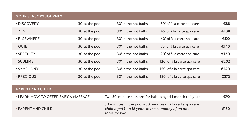| <b>YOUR SENSORY JOURNEY</b> |                 |                      |                             |      |
|-----------------------------|-----------------|----------------------|-----------------------------|------|
| · DISCOVERY                 | 30' at the pool | 30' in the hot baths | 30' of à la carte spa care  | €88  |
| $\cdot$ ZEN                 | 30' at the pool | 30' in the hot baths | 45' of à la carte spa care  | €108 |
| <b>. ELSEWHERE</b>          | 30' at the pool | 30' in the hot baths | 60' of à la carte spa care  | €122 |
| $\cdot$ OUIET               | 30' at the pool | 30' in the hot baths | 75' of à la carte spa care  | €140 |
| $\cdot$ SERENITY            | 30' at the pool | 30' in the hot baths | 90' of à la carte spa care  | €160 |
| $\cdot$ SUBLIME             | 30' at the pool | 30' in the hot baths | 120' of à la carte spa care | €202 |
| · SYMPHONY                  | 30' at the pool | 30' in the hot baths | 150' of à la carte spa care | €240 |
| $\cdot$ PRECIOUS            | 30' at the pool | 30' in the hot baths | 180' of à la carte spa care | €272 |

| <b>PARENT AND CHILD</b>                    |                                                                                                                                      |      |
|--------------------------------------------|--------------------------------------------------------------------------------------------------------------------------------------|------|
| $\cdot$ LEARN HOW TO OFFER BABY A MASSAGE. | Two 30-minute sessions for babies aged 1 month to 1 year                                                                             | €92  |
| · PARENT AND CHILD                         | 30 minutes in the pool - 30 minutes of à la carte spa care<br>child aged II to 16 years in the company of an adult.<br>rates for two | €150 |

the control of the control of the control of the control of the control of the control of the control of the control of the control of the control of the control of the control of the control of the control of the control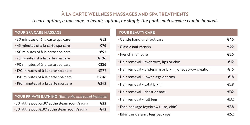# **À LA CARTE WELLNESS MASSAGES AND SPA TREATMENTS**

*A care option, a massage, a beauty option, or simply the pool, each service can be booked.*

### **YOUR SPA CARE MASSAGE**

| 30 minutes of à la carte spa care    | €52  |
|--------------------------------------|------|
| . 45 minutes of à la carte spa care  | €76  |
| 60 minutes of à la carte spa care    | €92  |
| *75 minutes of à la carte spa care   | €106 |
| · 90 minutes of à la carte spa care  | €126 |
| · 120 minutes of à la carte spa care | €172 |
| · 150 minutes of à la carte spa care | €206 |
| · 180 minutes of à la carte spa care | €242 |

### **YOUR PRIVATE BATHING** *(Bath robe and towel included)*

| 30' at the pool or 30' at the steam room/sauna | €22 |
|------------------------------------------------|-----|
| 30' at the pool & 30' at the steam room/sauna  | €42 |

### **YOUR BEAUTY CARE**

| . Gentle hand and foot care                              | €46 |
|----------------------------------------------------------|-----|
| • Classic nail varnish                                   | €22 |
| $\cdot$ French manicure                                  | €26 |
| · Hair removal - eyebrows, lips or chin                  | €12 |
| · Hair removal - underarm or bikini, or eyebrow creation | €16 |
| • Hair removal - lower legs or arms                      | €18 |
| . Hair removal - total bikini                            | €28 |
| . Hair removal - chest or back                           | €32 |
| · Hair removal - full legs                               | €32 |
| • Face package (eyebrows, lips, chin)                    | €38 |
| · Bikini, underarm, legs package                         | €52 |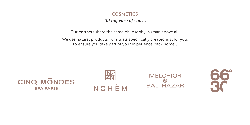## **COSMETICS**

*Taking care of you…*

Our partners share the same philosophy: human above all.

We use natural products, for rituals specifically created just for you, to ensure you take part of your experience back home…







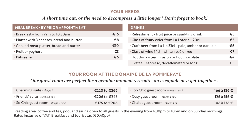### **YOUR NEEDS**

## *A short time out, or the need to decompress a little longer? Don't forget to book!*

| <b>MEAL BREAK - BY PRIOR APPOINTMENT</b>   |     | <b>DRINKS</b>                                           |    |
|--------------------------------------------|-----|---------------------------------------------------------|----|
| · Breakfast - from 9am to 10.30am          | €16 | · Refreshment - fruit juice or sparkling drink          | €5 |
| • Platter with 3 cheeses, bread and butter | €8  | . Glass of fruity cider from La Loterie - 20cl          | €5 |
| • Cooked meat platter, bread and butter    | €10 | • Craft beer from La Lie 33cl - pale, amber or dark ale | €6 |
| ∙ Fruit or yoghurt                         | €3  | · Glass of wine 14cl - white, rosé or red               | €7 |
| · Pâtisserie                               | €6  | · Hot drink - tea, infusion or hot chocolate            | €4 |
|                                            |     | · Coffee - espresso, decaffeinated or long              | €3 |

### **YOUR ROOM AT THE DOMAINE DE LA POMMERAYE**

*Our guest room are perfect for a genuine moment's respite, an escapade or a get-together…*

| • Charming suite - sleeps 2          | €220 to €266 | • Too Chic guest room - sleeps 1 or 2 | 166 à 186 € |
|--------------------------------------|--------------|---------------------------------------|-------------|
| Friends' suite - sleeps 2 to 6       | €206 to €246 | • Cosy guest room - sleeps 1 or 2     | 126 à 156 € |
| • So Chic guest room - sleeps 2 or 3 | €176 to €206 | • Chalet guest room - sleeps 1 or 3   | 106 à 136 € |

• Reading area, coffee and tea, pool and sauna open to all guests in the evening from 6.30pm to 10pm and on Sunday mornings. •Rates inclusive of VAT, Breakfast and tourist tax (€0.40pp).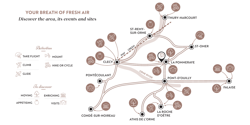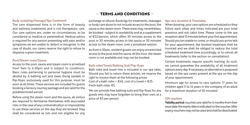#### **Body sculpting/Massage/Spa Treatment**

The care dispensed here is in the form of beauty and wellness treatments and is not therapeutic care. Our care options are, under no circumstances, to be considered as medical or paramedical. Medical advice is required for any person presenting with pain and/or symptoms we are unable to detect or recognise. In the case of doubt, our carers reserve the right to refuse to dispense a given treatment.

#### **Pool/Steam room/Sauna**

Access to the pool, sauna and steam room is privatised from 9am to 6.30pm and is subject to conditions. Basic rules pertaining to personal hygiene must be abided by. A bathing suit and clean thong sandals or flip-flops, exclusively used for this purpose, must be worn at all times. These services are included for guests booking a Sensory Journey package and are valid for the predetermined period.

Before using the steam room and the sauna, all visitors are required to familiarise themselves with associated risks. In the case of any contraindication or impossibility to use these services on the day they are booked, they shall be considered as lots and not eligible for any

#### — TERMS AND CONDITIONS —

exchange or refund. Bookings for treatments, massages or body care alone to not include access to the pool, the sauna or the steam room. These areas may, nevertheless, be booked - subject to availability and at a supplement of €22/person, which offers 30 minutes access to the pool or 30 minutes access to the sauna or 30 minutes access to the steam room, over a privatised session.

As from 6.30pm, resident guests can enjoy unrestricted access to the pool and the sauna. At this hour, the steam room is not available and may not be booked.

#### **Bath robe/Towel/Bathing Suit/Flip-flops**

Bath robe and towel hire is included in our spa rates. Should you fail to return these articles, we reserve the right to invoice them at the following prices: Cost of a bath robe =  $\epsilon$ 45; cost of a towel =  $\epsilon$ 25. Fresh bath robe: €5.

We can provide free bathing suits and flip-flops for any guests who may have forgotten to bring their own, at a price of €5 per person.

#### **Spa care duration & Timetable**

When booking, your care options are scheduled so they follow each other and times indicated are your total presence and not cabin time. Please come to the spa reception desk 15 minutes before your first appointment. Should you be unable to come, or should you arrive late for your appointment, the booked treatment shall be invoiced and we shall be obliged to reduce the total scheduled treatment time accordingly, or to cancel all treatments (refer to the section on cancellation).

Certain treatments require specific training. As such, we cannot guarantee the availability of all treatment options every day. If necessary, an alternative is proposed based on the spa carers present at the spa on the day of your appointment.

Minimum age for access to care options: 17 years (or children aged 11 to 16 years in the company of an adult for a maximum duration of 30 minutes)

#### **Gift vouchers**

**Validity period:** vouchers are valid for 6 months from their issue date; the expiry date is indicated on the voucher. After expiry, vouchers may not be used and shall be deactivated.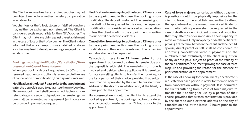The Client acknowledges that an expired voucher may not be subject to refund or any other monetary compensation in whatever form.

Voucher loss or theft: lost, stolen or falsified vouchers may neither be exchanged nor refunded. The Client is considered solely responsible for their Gift Voucher. The Client may not make any claim against the establishment in the case of loss or theft of a voucher. The Client is duly informed that any attempt to use a falsified or stolen voucher may lead to legal proceedings engaged by the establishment.

#### **Booking/Invoicing/Modification/Cancellation/Nonpresentation/Case of Force Majeure**

When you book, a deposit equivalent to 50% of the reserved treatment and options is requested. In the case of cancellation or modification, this deposit is retained.

**Modification at the latest 7 days prior to the appointment date:** the deposit is used to guarantee the new booking. This new appointment shall be non-modifiable and nonrefundable, and a second deposit for the remaining sum due shall be requested as prepayment (an invoice can be provided upon verbal request).

**Modification from 6 days to, at the latest, 72 hours prior to the appointment:** in this case, the booking is nonmodifiable. The deposit is retained. The remaining sum due shall not be requested. In this case, the requested modification is considered as a verbal cancellation, unless the client confirms the appointment in writing to our postal or electronic address.

**Cancellation from 6 days to, at the latest, 72 hours prior to the appointment**: in this case, the booking is nonmodifiable and the deposit is retained. The remaining sum due shall not be requested.

**Cancellation less than 72 hours prior to the appointment:** all booked treatments remain due and the deposit is withheld. The remaining sum due is invoiced and debited where applicable. It is permitted for late cancelling clients to transfer their booking for use by a person of their choice, provided that written confirmation is provided by the client to our electronic address on the day of cancellation and, at the latest, 12 hours prior to the appointment.

**Non-presentation:** should the client fail to attend the booked appointment, the booking shall be considered as a cancellation made less than 72 hours prior to the appointment.

**Case of force majeure:** cancellation without payment is possible should it be physically impossible for the client to travel to the establishment and/or to attend the appointment at the agreed time. A certificate for each participating person shall be requested in the case of death, accident, incident or medical restriction that may affect/render impossible their capacity to move or to travel. Only incapacity or death certificates proving a direct link between the client and their child, spouse, direct parent or self, shall be considered for approving cancellation without payment and the reimbursement, exclusively to the client in question, of any deposit paid, subject to proof of the validity of the said certificate/document proving the case of force majeure and providing the reason for the absence of prior cancellation of the appointment.

In the case of a booking for several clients, a certificate is requested for each person in order for them to benefit from cancellation without payment. It is permitted for clients suffering from a case of force majeure to transfer their booking for use by a person of their choice, provided that written confirmation is provided by the client to our electronic address on the day of cancellation and, at the latest, 12 hours prior to the appointment.